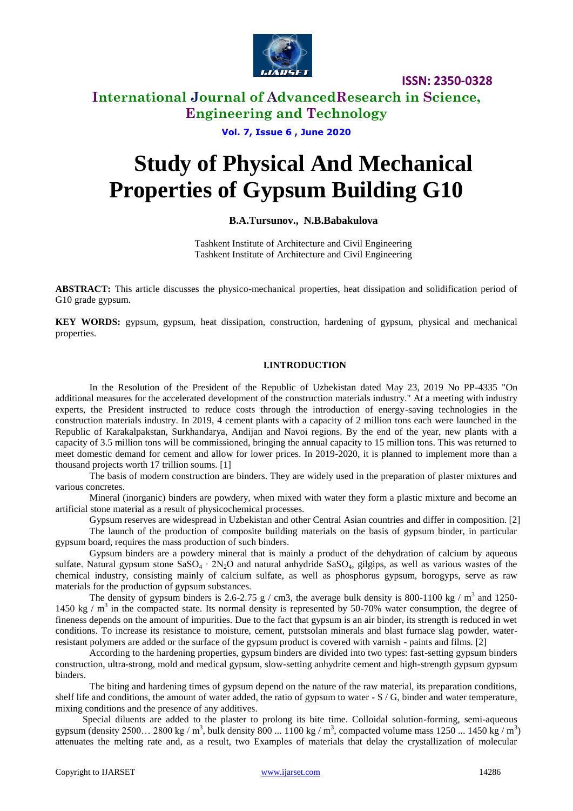

### **International Journal of AdvancedResearch in Science, Engineering and Technology**

**Vol. 7, Issue 6 , June 2020**

# **Study of Physical And Mechanical Properties of Gypsum Building G10**

#### **B.A.Tursunov., N.B.Babakulova**

Tashkent Institute of Architecture and Civil Engineering Tashkent Institute of Architecture and Civil Engineering

**ABSTRACT:** This article discusses the physico-mechanical properties, heat dissipation and solidification period of G10 grade gypsum.

**KEY WORDS:** gypsum, gypsum, heat dissipation, construction, hardening of gypsum, physical and mechanical properties.

#### **I.INTRODUCTION**

In the Resolution of the President of the Republic of Uzbekistan dated May 23, 2019 No PP-4335 "On additional measures for the accelerated development of the construction materials industry." At a meeting with industry experts, the President instructed to reduce costs through the introduction of energy-saving technologies in the construction materials industry. In 2019, 4 cement plants with a capacity of 2 million tons each were launched in the Republic of Karakalpakstan, Surkhandarya, Andijan and Navoi regions. By the end of the year, new plants with a capacity of 3.5 million tons will be commissioned, bringing the annual capacity to 15 million tons. This was returned to meet domestic demand for cement and allow for lower prices. In 2019-2020, it is planned to implement more than a thousand projects worth 17 trillion soums. [1]

The basis of modern construction are binders. They are widely used in the preparation of plaster mixtures and various concretes.

Mineral (inorganic) binders are powdery, when mixed with water they form a plastic mixture and become an artificial stone material as a result of physicochemical processes.

Gypsum reserves are widespread in Uzbekistan and other Central Asian countries and differ in composition. [2]

The launch of the production of composite building materials on the basis of gypsum binder, in particular gypsum board, requires the mass production of such binders.

Gypsum binders are a powdery mineral that is mainly a product of the dehydration of calcium by aqueous sulfate. Natural gypsum stone  $SASO_4 \cdot 2N_2O$  and natural anhydride  $SASO_4$ , gilgips, as well as various wastes of the chemical industry, consisting mainly of calcium sulfate, as well as phosphorus gypsum, borogyps, serve as raw materials for the production of gypsum substances.

The density of gypsum binders is 2.6-2.75 g / cm3, the average bulk density is 800-1100 kg /  $m<sup>3</sup>$  and 1250-1450 kg /  $m<sup>3</sup>$  in the compacted state. Its normal density is represented by 50-70% water consumption, the degree of fineness depends on the amount of impurities. Due to the fact that gypsum is an air binder, its strength is reduced in wet conditions. To increase its resistance to moisture, cement, putstsolan minerals and blast furnace slag powder, waterresistant polymers are added or the surface of the gypsum product is covered with varnish - paints and films. [2]

According to the hardening properties, gypsum binders are divided into two types: fast-setting gypsum binders construction, ultra-strong, mold and medical gypsum, slow-setting anhydrite cement and high-strength gypsum gypsum binders.

The biting and hardening times of gypsum depend on the nature of the raw material, its preparation conditions, shelf life and conditions, the amount of water added, the ratio of gypsum to water  $- S / G$ , binder and water temperature, mixing conditions and the presence of any additives.

Special diluents are added to the plaster to prolong its bite time. Colloidal solution-forming, semi-aqueous gypsum (density 2500... 2800 kg / m<sup>3</sup>, bulk density 800 ... 1100 kg / m<sup>3</sup>, compacted volume mass 1250 ... 1450 kg / m<sup>3</sup>) attenuates the melting rate and, as a result, two Examples of materials that delay the crystallization of molecular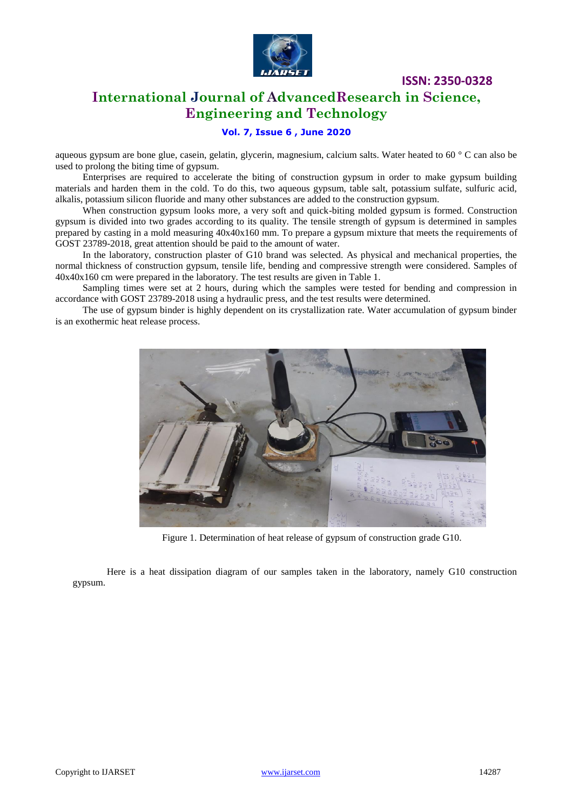

### **International Journal of AdvancedResearch in Science, Engineering and Technology**

### **Vol. 7, Issue 6 , June 2020**

aqueous gypsum are bone glue, casein, gelatin, glycerin, magnesium, calcium salts. Water heated to 60 ° C can also be used to prolong the biting time of gypsum.

Enterprises are required to accelerate the biting of construction gypsum in order to make gypsum building materials and harden them in the cold. To do this, two aqueous gypsum, table salt, potassium sulfate, sulfuric acid, alkalis, potassium silicon fluoride and many other substances are added to the construction gypsum.

When construction gypsum looks more, a very soft and quick-biting molded gypsum is formed. Construction gypsum is divided into two grades according to its quality. The tensile strength of gypsum is determined in samples prepared by casting in a mold measuring 40x40x160 mm. To prepare a gypsum mixture that meets the requirements of GOST 23789-2018, great attention should be paid to the amount of water.

In the laboratory, construction plaster of G10 brand was selected. As physical and mechanical properties, the normal thickness of construction gypsum, tensile life, bending and compressive strength were considered. Samples of 40x40x160 cm were prepared in the laboratory. The test results are given in Table 1.

Sampling times were set at 2 hours, during which the samples were tested for bending and compression in accordance with GOST 23789-2018 using a hydraulic press, and the test results were determined.

The use of gypsum binder is highly dependent on its crystallization rate. Water accumulation of gypsum binder is an exothermic heat release process.



Figure 1. Determination of heat release of gypsum of construction grade G10.

Here is a heat dissipation diagram of our samples taken in the laboratory, namely G10 construction gypsum.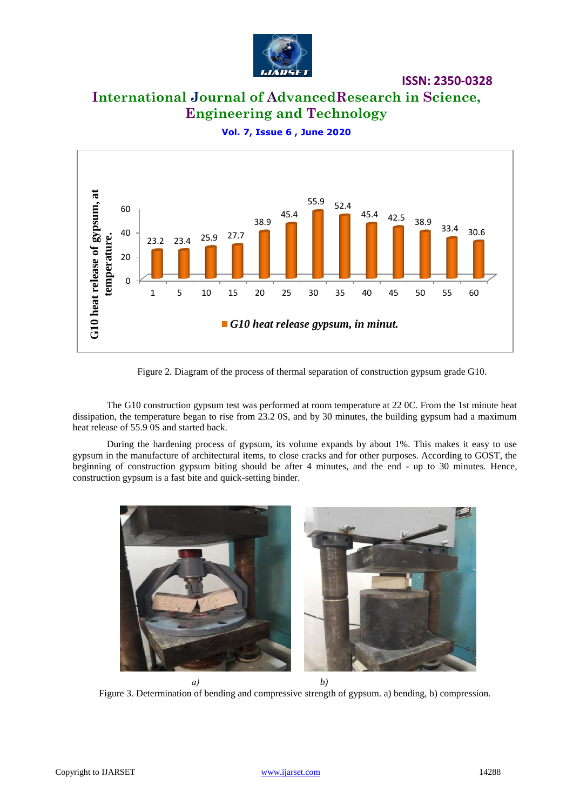

# **International Journal of AdvancedResearch in Science, Engineering and Technology**



**Vol. 7, Issue 6 , June 2020**

Figure 2. Diagram of the process of thermal separation of construction gypsum grade G10.

The G10 construction gypsum test was performed at room temperature at 22 0C. From the 1st minute heat dissipation, the temperature began to rise from 23.2 0S, and by 30 minutes, the building gypsum had a maximum heat release of 55.9 0S and started back.

During the hardening process of gypsum, its volume expands by about 1%. This makes it easy to use gypsum in the manufacture of architectural items, to close cracks and for other purposes. According to GOST, the beginning of construction gypsum biting should be after 4 minutes, and the end - up to 30 minutes. Hence, construction gypsum is a fast bite and quick-setting binder.



Figure 3. Determination of bending and compressive strength of gypsum. a) bending, b) compression.